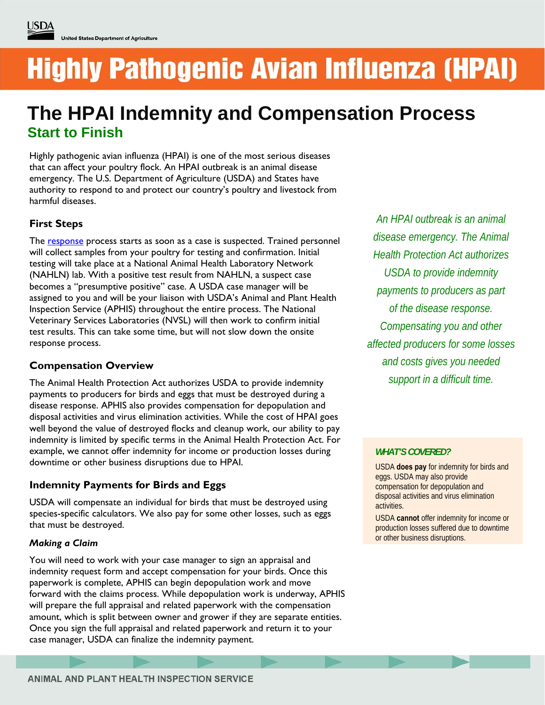# **Highly Pathogenic Avian Influenza (HPAI)**

# **The HPAI Indemnity and Compensation Process Start to Finish**

Highly pathogenic avian influenza (HPAI) is one of the most serious diseases that can affect your poultry flock. An HPAI outbreak is an animal disease emergency. The U.S. Department of Agriculture (USDA) and States have authority to respond to and protect our country's poultry and livestock from harmful diseases.

# **First Steps**

The [response](https://www.aphis.usda.gov/aphis/ourfocus/animalhealth/animal-disease-information/avian-influenza-disease/!ut/p/z1/04_iUlDg4tKPAFJABpSA0fpReYllmemJJZn5eYk5-hH6kVFm8X6Gzu4GFiaGPu6uLoYGjh6Wnt4e5mYG7mam-l76UfgVFGQHKgIAz0VrTQ!!/) process starts as soon as a case is suspected. Trained personnel will collect samples from your poultry for testing and confirmation. Initial testing will take place at a National Animal Health Laboratory Network (NAHLN) lab. With a positive test result from NAHLN, a suspect case becomes a "presumptive positive" case. A USDA case manager will be assigned to you and will be your liaison with USDA's Animal and Plant Health Inspection Service (APHIS) throughout the entire process. The National Veterinary Services Laboratories (NVSL) will then work to confirm initial test results. This can take some time, but will not slow down the onsite response process.

# **Compensation Overview**

The Animal Health Protection Act authorizes USDA to provide indemnity payments to producers for birds and eggs that must be destroyed during a disease response. APHIS also provides compensation for depopulation and disposal activities and virus elimination activities. While the cost of HPAI goes well beyond the value of destroyed flocks and cleanup work, our ability to pay indemnity is limited by specific terms in the Animal Health Protection Act. For example, we cannot offer indemnity for income or production losses during downtime or other business disruptions due to HPAI.

# **Indemnity Payments for Birds and Eggs**

USDA will compensate an individual for birds that must be destroyed using species-specific calculators. We also pay for some other losses, such as eggs that must be destroyed.

## *Making a Claim*

You will need to work with your case manager to sign an appraisal and indemnity request form and accept compensation for your birds. Once this paperwork is complete, APHIS can begin depopulation work and move forward with the claims process. While depopulation work is underway, APHIS will prepare the full appraisal and related paperwork with the compensation amount, which is split between owner and grower if they are separate entities. Once you sign the full appraisal and related paperwork and return it to your case manager, USDA can finalize the indemnity payment.

*An HPAI outbreak is an animal disease emergency. The Animal Health Protection Act authorizes USDA to provide indemnity payments to producers as part of the disease response. Compensating you and other affected producers for some losses and costs gives you needed support in a difficult time.* 

## *WHAT'S COVERED?*

USDA **does pay** for indemnity for birds and eggs. USDA may also provide compensation for depopulation and disposal activities and virus elimination activities.

USDA **cannot** offer indemnity for income or production losses suffered due to downtime or other business disruptions.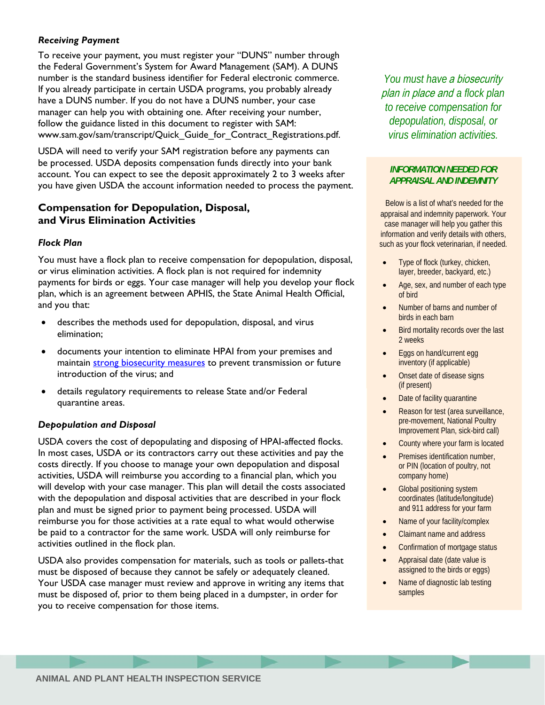#### *Receiving Payment*

To receive your payment, you must register your "DUNS" number through the Federal Government's System for Award Management (SAM). A DUNS number is the standard business identifier for Federal electronic commerce. If you already participate in certain USDA programs, you probably already have a DUNS number. If you do not have a DUNS number, your case manager can help you with obtaining one. After receiving your number, follow the guidance listed in this document to register with SAM: www.sam.gov/sam/transcript/Quick\_Guide\_for\_Contract\_Registrations.pdf.

USDA will need to verify your SAM registration before any payments can be processed. USDA deposits compensation funds directly into your bank account. You can expect to see the deposit approximately 2 to 3 weeks after you have given USDA the account information needed to process the payment.

# **Compensation for Depopulation, Disposal, and Virus Elimination Activities**

#### *Flock Plan*

You must have a flock plan to receive compensation for depopulation, disposal, or virus elimination activities. A flock plan is not required for indemnity payments for birds or eggs. Your case manager will help you develop your flock plan, which is an agreement between APHIS, the State Animal Health Official, and you that:

- describes the methods used for depopulation, disposal, and virus elimination;
- documents your intention to eliminate HPAI from your premises and maintain [strong biosecurity measures](http://www.uspoultry.org/animal_husbandry/intro.cfm) to prevent transmission or future introduction of the virus; and
- details regulatory requirements to release State and/or Federal quarantine areas.

#### *Depopulation and Disposal*

USDA covers the cost of depopulating and disposing of HPAI-affected flocks. In most cases, USDA or its contractors carry out these activities and pay the costs directly. If you choose to manage your own depopulation and disposal activities, USDA will reimburse you according to a financial plan, which you will develop with your case manager. This plan will detail the costs associated with the depopulation and disposal activities that are described in your flock plan and must be signed prior to payment being processed. USDA will reimburse you for those activities at a rate equal to what would otherwise be paid to a contractor for the same work. USDA will only reimburse for activities outlined in the flock plan.

USDA also provides compensation for materials, such as tools or pallets-that must be disposed of because they cannot be safely or adequately cleaned. Your USDA case manager must review and approve in writing any items that must be disposed of, prior to them being placed in a dumpster, in order for you to receive compensation for those items.

*You must have* a biosecurity plan in place and *a flock plan to receive compensation for depopulation, disposal, or virus elimination activities.* 

#### *INFORMATION NEEDED FOR APPRAISAL AND INDEMNITY*

Below is a list of what's needed for the appraisal and indemnity paperwork. Your case manager will help you gather this information and verify details with others, such as your flock veterinarian, if needed.

- Type of flock (turkey, chicken, layer, breeder, backyard, etc.)
- Age, sex, and number of each type of bird
- Number of barns and number of birds in each barn
- Bird mortality records over the last 2 weeks
- Eggs on hand/current egg inventory (if applicable)
- Onset date of disease signs (if present)
- Date of facility quarantine
- Reason for test (area surveillance, pre-movement, National Poultry Improvement Plan, sick-bird call)
- County where your farm is located
- Premises identification number, or PIN (location of poultry, not company home)
- Global positioning system coordinates (latitude/longitude) and 911 address for your farm
- Name of your facility/complex
- Claimant name and address
- Confirmation of mortgage status
- Appraisal date (date value is assigned to the birds or eggs)
- Name of diagnostic lab testing samples